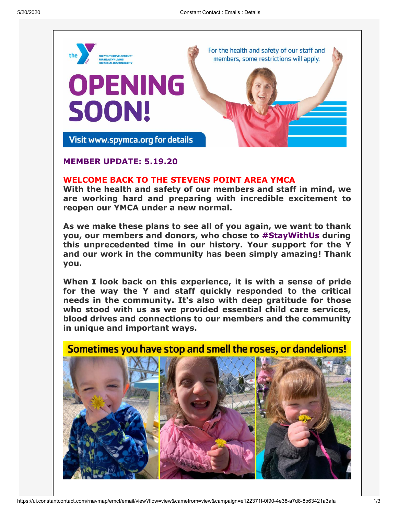

## **MEMBER UPDATE: 5.19.20**

## **WELCOME BACK TO THE STEVENS POINT AREA YMCA**

**With the health and safety of our members and staff in mind, we are working hard and preparing with incredible excitement to reopen our YMCA under a new normal.**

**As we make these plans to see all of you again, we want to thank you, our members and donors, who chose to #StayWithUs during this unprecedented time in our history. Your support for the Y and our work in the community has been simply amazing! Thank you.**

**When I look back on this experience, it is with a sense of pride for the way the Y and staff quickly responded to the critical needs in the community. It's also with deep gratitude for those who stood with us as we provided essential child care services, blood drives and connections to our members and the community in unique and important ways.**

## Sometimes you have stop and smell the roses, or dandelions!

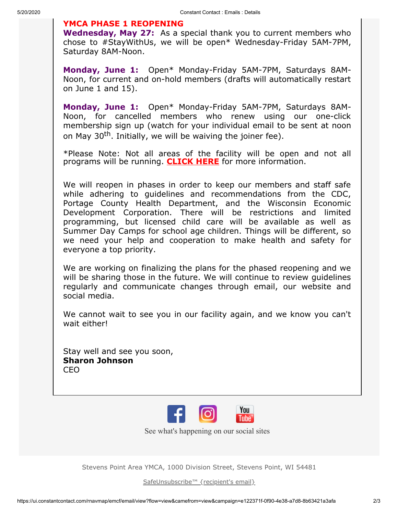## **YMCA PHASE 1 REOPENING**

**Wednesday, May 27:** As a special thank you to current members who chose to #StayWithUs, we will be open\* Wednesday-Friday 5AM-7PM, Saturday 8AM-Noon.

**Monday, June 1:** Open\* Monday-Friday 5AM-7PM, Saturdays 8AM-Noon, for current and on-hold members (drafts will automatically restart on June 1 and 15).

**Monday, June 1:** Open\* Monday-Friday 5AM-7PM, Saturdays 8AM-Noon, for cancelled members who renew using our one-click membership sign up (watch for your individual email to be sent at noon on May 30<sup>th</sup>. Initially, we will be waiving the joiner fee).

\*Please Note: Not all areas of the facility will be open and not all programs will be running. **[CLICK HERE](https://www.spymca.org/wp-content/uploads/2020/05/COVID19_SPYMCA_MmbrComm_5.19.20.pdf)** for more information.

We will reopen in phases in order to keep our members and staff safe while adhering to guidelines and recommendations from the CDC, Portage County Health Department, and the Wisconsin Economic Development Corporation. There will be restrictions and limited programming, but licensed child care will be available as well as Summer Day Camps for school age children. Things will be different, so we need your help and cooperation to make health and safety for everyone a top priority.

We are working on finalizing the plans for the phased reopening and we will be sharing those in the future. We will continue to review guidelines regularly and communicate changes through email, our website and social media.

We cannot wait to see you in our facility again, and we know you can't wait either!

Stay well and see you soon, **Sharon Johnson** CEO



See what's happening on our social sites

Stevens Point Area YMCA, 1000 Division Street, Stevens Point, WI 54481

[SafeUnsubscribe™ {recipient's email}](https://visitor.constantcontact.com/do?p=un&mse=001bpzHL3BVbkD5Ax_1s69oT5N0vgM0BXBp&t=001sPPUL5GwEdiQw2eAH2GXrQ%3D%3D&id=001b-xBWU3VMkfV4Mmgrt3U9uYaOFo88YQu&llr=wn7hdldab)